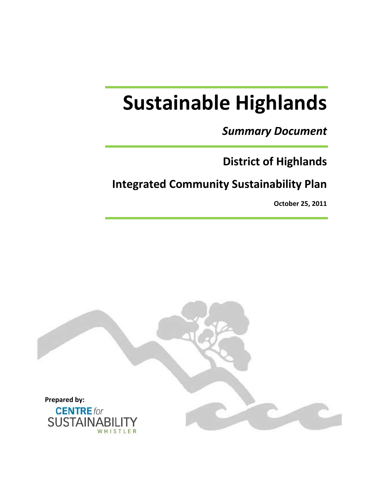# **Sustainable Highlands**

# *Summary Document*

# **District of Highlands**

# **Integrated Community Sustainability Plan**

**October 25, 2011**

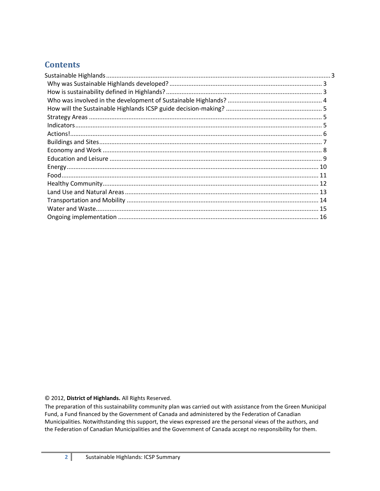# **Contents**

#### © 2012, District of Highlands. All Rights Reserved.

The preparation of this sustainability community plan was carried out with assistance from the Green Municipal Fund, a Fund financed by the Government of Canada and administered by the Federation of Canadian Municipalities. Notwithstanding this support, the views expressed are the personal views of the authors, and the Federation of Canadian Municipalities and the Government of Canada accept no responsibility for them.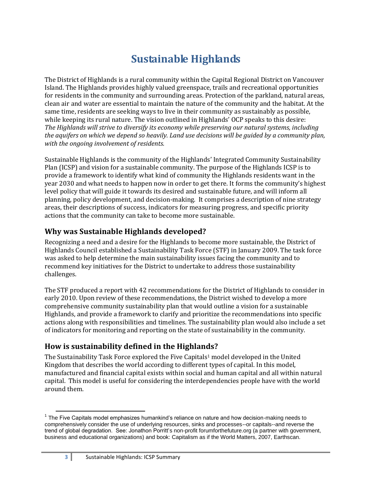# **Sustainable Highlands**

<span id="page-2-0"></span>The District of Highlands is a rural community within the Capital Regional District on Vancouver Island. The Highlands provides highly valued greenspace, trails and recreational opportunities for residents in the community and surrounding areas. Protection of the parkland, natural areas, clean air and water are essential to maintain the nature of the community and the habitat. At the same time, residents are seeking ways to live in their community as sustainably as possible, while keeping its rural nature. The vision outlined in Highlands' OCP speaks to this desire: *The Highlands will strive to diversify its economy while preserving our natural systems, including the aquifers on which we depend so heavily. Land use decisions will be guided by a community plan, with the ongoing involvement of residents.* 

Sustainable Highlands is the community of the Highlands' Integrated Community Sustainability Plan (ICSP) and vision for a sustainable community. The purpose of the Highlands ICSP is to provide a framework to identify what kind of community the Highlands residents want in the year 2030 and what needs to happen now in order to get there. It forms the community's highest level policy that will guide it towards its desired and sustainable future, and will inform all planning, policy development, and decision-making. It comprises a description of nine strategy areas, their descriptions of success, indicators for measuring progress, and specific priority actions that the community can take to become more sustainable.

# <span id="page-2-1"></span>**Why was Sustainable Highlands developed?**

Recognizing a need and a desire for the Highlands to become more sustainable, the District of Highlands Council established a Sustainability Task Force (STF) in January 2009. The task force was asked to help determine the main sustainability issues facing the community and to recommend key initiatives for the District to undertake to address those sustainability challenges.

The STF produced a report with 42 recommendations for the District of Highlands to consider in early 2010. Upon review of these recommendations, the District wished to develop a more comprehensive community sustainability plan that would outline a vision for a sustainable Highlands, and provide a framework to clarify and prioritize the recommendations into specific actions along with responsibilities and timelines. The sustainability plan would also include a set of indicators for monitoring and reporting on the state of sustainability in the community.

# <span id="page-2-2"></span>**How is sustainability defined in the Highlands?**

The Sustainability Task Force explored the Five Capitals<sup>1</sup> model developed in the United Kingdom that describes the world according to different types of capital. In this model, manufactured and financial capital exists within social and human capital and all within natural capital. This model is useful for considering the interdependencies people have with the world around them.

<sup>1</sup>  $1$  The Five Capitals model emphasizes humankind's reliance on nature and how decision-making needs to comprehensively consider the use of underlying resources, sinks and processes--or capitals--and reverse the trend of global degradation. See: Jonathon Porritt's non-profit forumforthefuture.org (a partner with government, business and educational organizations) and book: Capitalism as if the World Matters, 2007, Earthscan.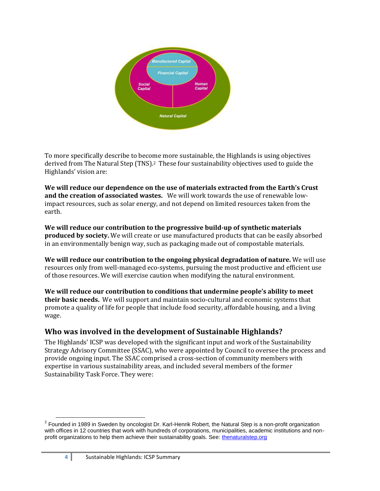

To more specifically describe to become more sustainable, the Highlands is using objectives derived from The Natural Step (TNS). <sup>2</sup> These four sustainability objectives used to guide the Highlands' vision are:

**We will reduce our dependence on the use of materials extracted from the Earth's Crust and the creation of associated wastes.** We will work towards the use of renewable lowimpact resources, such as solar energy, and not depend on limited resources taken from the earth.

**We will reduce our contribution to the progressive build-up of synthetic materials produced by society.** We will create or use manufactured products that can be easily absorbed in an environmentally benign way, such as packaging made out of compostable materials.

**We will reduce our contribution to the ongoing physical degradation of nature.** We will use resources only from well-managed eco-systems, pursuing the most productive and efficient use of those resources. We will exercise caution when modifying the natural environment.

**We will reduce our contribution to conditions that undermine people's ability to meet their basic needs.** We will support and maintain socio-cultural and economic systems that promote a quality of life for people that include food security, affordable housing, and a living wage.

# <span id="page-3-0"></span>**Who was involved in the development of Sustainable Highlands?**

The Highlands' ICSP was developed with the significant input and work of the Sustainability Strategy Advisory Committee (SSAC), who were appointed by Council to oversee the process and provide ongoing input. The SSAC comprised a cross-section of community members with expertise in various sustainability areas, and included several members of the former Sustainability Task Force. They were:

**EXECTS 2**<br><sup>2</sup> Founded in 1989 in Sweden by oncologist Dr. Karl-Henrik Robert, the Natural Step is a non-profit organization with offices in 12 countries that work with hundreds of corporations, municipalities, academic institutions and nonprofit organizations to help them achieve their sustainability goals. See[: thenaturalstep.org](http://www.thenaturalstep.org/)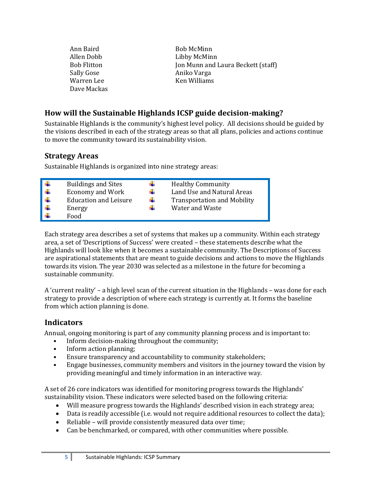| Ann Baird   | <b>Bob McMinn</b>                  |
|-------------|------------------------------------|
| Allen Dobb  | Libby McMinn                       |
| Bob Flitton | Jon Munn and Laura Beckett (staff) |
| Sally Gose  | Aniko Varga                        |
| Warren Lee  | Ken Williams                       |
| Dave Mackas |                                    |

# <span id="page-4-0"></span>**How will the Sustainable Highlands ICSP guide decision-making?**

Sustainable Highlands is the community's highest level policy. All decisions should be guided by the visions described in each of the strategy areas so that all plans, policies and actions continue to move the community toward its sustainability vision.

# <span id="page-4-1"></span>**Strategy Areas**

Sustainable Highlands is organized into nine strategy areas:

| Food |  | <b>Buildings and Sites</b><br><b>Economy and Work</b><br><b>Education and Leisure</b><br>Energy |  | <b>Healthy Community</b><br>Land Use and Natural Areas<br><b>Transportation and Mobility</b><br>Water and Waste |
|------|--|-------------------------------------------------------------------------------------------------|--|-----------------------------------------------------------------------------------------------------------------|
|------|--|-------------------------------------------------------------------------------------------------|--|-----------------------------------------------------------------------------------------------------------------|

Each strategy area describes a set of systems that makes up a community. Within each strategy area, a set of 'Descriptions of Success' were created – these statements describe what the Highlands will look like when it becomes a sustainable community. The Descriptions of Success are aspirational statements that are meant to guide decisions and actions to move the Highlands towards its vision. The year 2030 was selected as a milestone in the future for becoming a sustainable community.

A 'current reality' – a high level scan of the current situation in the Highlands – was done for each strategy to provide a description of where each strategy is currently at. It forms the baseline from which action planning is done.

# <span id="page-4-2"></span>**Indicators**

Annual, ongoing monitoring is part of any community planning process and is important to:

- Inform decision-making throughout the community;
- Inform action planning;
- Ensure transparency and accountability to community stakeholders;
- Engage businesses, community members and visitors in the journey toward the vision by providing meaningful and timely information in an interactive way.

A set of 26 core indicators was identified for monitoring progress towards the Highlands' sustainability vision. These indicators were selected based on the following criteria:

- Will measure progress towards the Highlands' described vision in each strategy area;
- Data is readily accessible (i.e. would not require additional resources to collect the data);
- Reliable will provide consistently measured data over time;
- Can be benchmarked, or compared, with other communities where possible.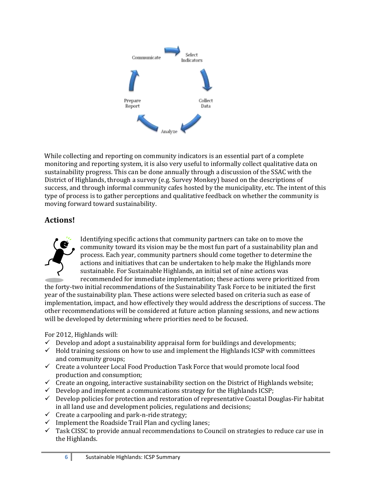

While collecting and reporting on community indicators is an essential part of a complete monitoring and reporting system, it is also very useful to informally collect qualitative data on sustainability progress. This can be done annually through a discussion of the SSAC with the District of Highlands, through a survey (e.g. Survey Monkey) based on the descriptions of success, and through informal community cafes hosted by the municipality, etc. The intent of this type of process is to gather perceptions and qualitative feedback on whether the community is moving forward toward sustainability.

# <span id="page-5-0"></span>**Actions!**



Identifying specific actions that community partners can take on to move the community toward its vision may be the most fun part of a sustainability plan and process. Each year, community partners should come together to determine the actions and initiatives that can be undertaken to help make the Highlands more sustainable. For Sustainable Highlands, an initial set of nine actions was recommended for immediate implementation; these actions were prioritized from

the forty-two initial recommendations of the Sustainability Task Force to be initiated the first year of the sustainability plan. These actions were selected based on criteria such as ease of implementation, impact, and how effectively they would address the descriptions of success. The other recommendations will be considered at future action planning sessions, and new actions will be developed by determining where priorities need to be focused.

For 2012, Highlands will:

- $\checkmark$  Develop and adopt a sustainability appraisal form for buildings and developments;
- $\checkmark$  Hold training sessions on how to use and implement the Highlands ICSP with committees and community groups;
- $\checkmark$  Create a volunteer Local Food Production Task Force that would promote local food production and consumption;
- $\checkmark$  Create an ongoing, interactive sustainability section on the District of Highlands website;
- $\checkmark$  Develop and implement a communications strategy for the Highlands ICSP;
- $\checkmark$  Develop policies for protection and restoration of representative Coastal Douglas-Fir habitat in all land use and development policies, regulations and decisions;
- $\checkmark$  Create a carpooling and park-n-ride strategy;
- $\checkmark$  Implement the Roadside Trail Plan and cycling lanes;
- $\checkmark$  Task CISSC to provide annual recommendations to Council on strategies to reduce car use in the Highlands.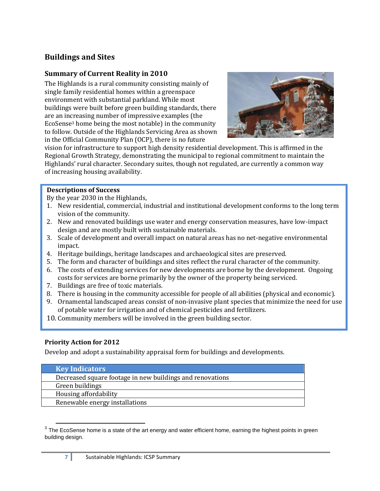# <span id="page-6-0"></span>**Buildings and Sites**

### **Summary of Current Reality in 2010**

The Highlands is a rural community consisting mainly of single family residential homes within a greenspace environment with substantial parkland. While most buildings were built before green building standards, there are an increasing number of impressive examples (the EcoSense<sup>3</sup> home being the most notable) in the community to follow. Outside of the Highlands Servicing Area as shown in the Official Community Plan (OCP), there is no future



vision for infrastructure to support high density residential development. This is affirmed in the Regional Growth Strategy, demonstrating the municipal to regional commitment to maintain the Highlands' rural character. Secondary suites, though not regulated, are currently a common way of increasing housing availability.

#### **Descriptions of Success**

By the year 2030 in the Highlands,

- 1. New residential, commercial, industrial and institutional development conforms to the long term vision of the community.
- 2. New and renovated buildings use water and energy conservation measures, have low-impact design and are mostly built with sustainable materials.
- 3. Scale of development and overall impact on natural areas has no net-negative environmental impact.
- 4. Heritage buildings, heritage landscapes and archaeological sites are preserved.
- 5. The form and character of buildings and sites reflect the rural character of the community.
- 6. The costs of extending services for new developments are borne by the development. Ongoing costs for services are borne primarily by the owner of the property being serviced.
- 7. Buildings are free of toxic materials.
- 8. There is housing in the community accessible for people of all abilities (physical and economic).
- 9. Ornamental landscaped areas consist of non-invasive plant species that minimize the need for use of potable water for irrigation and of chemical pesticides and fertilizers.
- 10. Community members will be involved in the green building sector.

#### **Priority Action for 2012**

Develop and adopt a sustainability appraisal form for buildings and developments.

| <b>Key Indicators</b>                                     |
|-----------------------------------------------------------|
| Decreased square footage in new buildings and renovations |
| Green buildings                                           |
| Housing affordability                                     |
| Renewable energy installations                            |

 $\overline{a}$  $3$  The EcoSense home is a state of the art energy and water efficient home, earning the highest points in green building design.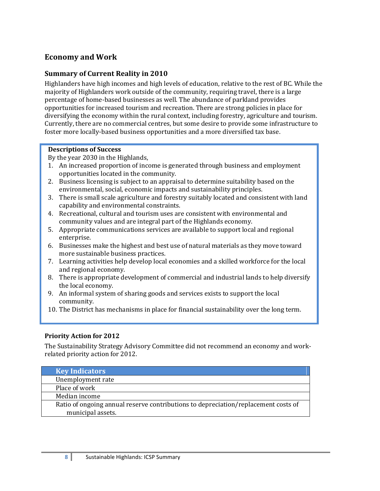# <span id="page-7-0"></span>**Economy and Work**

#### **Summary of Current Reality in 2010**

Highlanders have high incomes and high levels of education, relative to the rest of BC. While the majority of Highlanders work outside of the community, requiring travel, there is a large percentage of home-based businesses as well. The abundance of parkland provides opportunities for increased tourism and recreation. There are strong policies in place for diversifying the economy within the rural context, including forestry, agriculture and tourism. Currently, there are no commercial centres, but some desire to provide some infrastructure to foster more locally-based business opportunities and a more diversified tax base.

#### **Descriptions of Success**

By the year 2030 in the Highlands,

- 1. An increased proportion of income is generated through business and employment opportunities located in the community.
- 2. Business licensing is subject to an appraisal to determine suitability based on the environmental, social, economic impacts and sustainability principles.
- 3. There is small scale agriculture and forestry suitably located and consistent with land capability and environmental constraints.
- 4. Recreational, cultural and tourism uses are consistent with environmental and community values and are integral part of the Highlands economy.
- 5. Appropriate communications services are available to support local and regional enterprise.
- 6. Businesses make the highest and best use of natural materials as they move toward more sustainable business practices.
- 7. Learning activities help develop local economies and a skilled workforce for the local and regional economy.
- 8. There is appropriate development of commercial and industrial lands to help diversify the local economy.
- 9. An informal system of sharing goods and services exists to support the local community.
- 10. The District has mechanisms in place for financial sustainability over the long term.

#### **Priority Action for 2012**

The Sustainability Strategy Advisory Committee did not recommend an economy and workrelated priority action for 2012.

| <b>Key Indicators</b>                                                              |
|------------------------------------------------------------------------------------|
| Unemployment rate                                                                  |
| Place of work                                                                      |
| Median income                                                                      |
| Ratio of ongoing annual reserve contributions to depreciation/replacement costs of |
| municipal assets.                                                                  |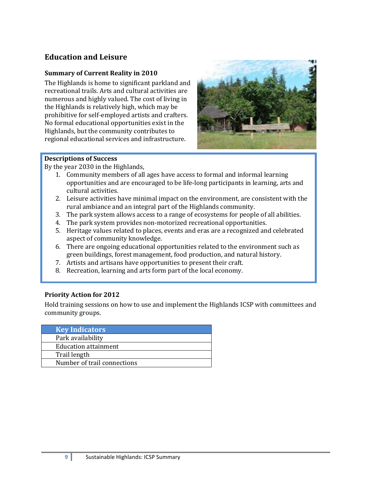# <span id="page-8-0"></span>**Education and Leisure**

#### **Summary of Current Reality in 2010**

The Highlands is home to significant parkland and recreational trails. Arts and cultural activities are numerous and highly valued. The cost of living in the Highlands is relatively high, which may be prohibitive for self-employed artists and crafters. No formal educational opportunities exist in the Highlands, but the community contributes to regional educational services and infrastructure.



#### **Descriptions of Success**

By the year 2030 in the Highlands,

- 1. Community members of all ages have access to formal and informal learning opportunities and are encouraged to be life-long participants in learning, arts and cultural activities.
- 2. Leisure activities have minimal impact on the environment, are consistent with the rural ambiance and an integral part of the Highlands community.
- 3. The park system allows access to a range of ecosystems for people of all abilities.
- 4. The park system provides non-motorized recreational opportunities.
- 5. Heritage values related to places, events and eras are a recognized and celebrated aspect of community knowledge.
- 6. There are ongoing educational opportunities related to the environment such as green buildings, forest management, food production, and natural history.
- 7. Artists and artisans have opportunities to present their craft.
- 8. Recreation, learning and arts form part of the local economy.

#### **Priority Action for 2012**

Hold training sessions on how to use and implement the Highlands ICSP with committees and community groups.

| <b>Key Indicators</b>       |  |
|-----------------------------|--|
| Park availability           |  |
| Education attainment        |  |
| Trail length                |  |
| Number of trail connections |  |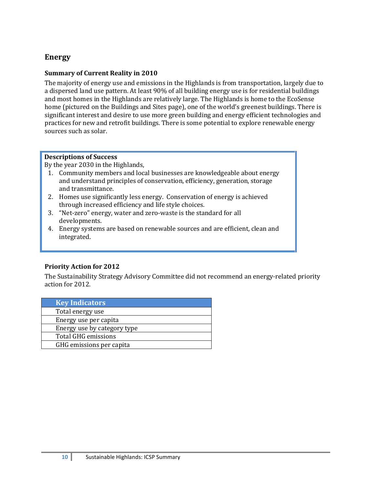# <span id="page-9-0"></span>**Energy**

#### **Summary of Current Reality in 2010**

The majority of energy use and emissions in the Highlands is from transportation, largely due to a dispersed land use pattern. At least 90% of all building energy use is for residential buildings and most homes in the Highlands are relatively large. The Highlands is home to the EcoSense home (pictured on the Buildings and Sites page), one of the world's greenest buildings. There is significant interest and desire to use more green building and energy efficient technologies and practices for new and retrofit buildings. There is some potential to explore renewable energy sources such as solar.

#### **Descriptions of Success**

By the year 2030 in the Highlands,

- 1. Community members and local businesses are knowledgeable about energy and understand principles of conservation, efficiency, generation, storage and transmittance.
- 2. Homes use significantly less energy. Conservation of energy is achieved through increased efficiency and life style choices.
- 3. "Net-zero" energy, water and zero-waste is the standard for all developments.
- 4. Energy systems are based on renewable sources and are efficient, clean and integrated.

#### **Priority Action for 2012**

The Sustainability Strategy Advisory Committee did not recommend an energy-related priority action for 2012.

| <b>Key Indicators</b>       |
|-----------------------------|
| Total energy use            |
| Energy use per capita       |
| Energy use by category type |
| Total GHG emissions         |
| GHG emissions per capita    |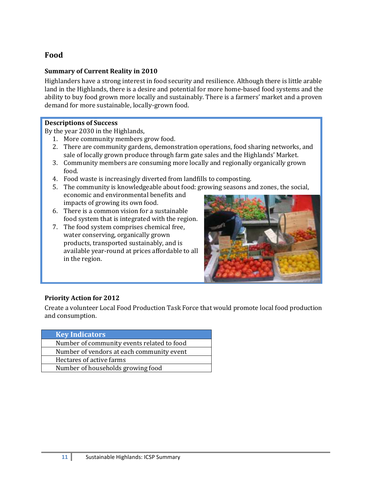# <span id="page-10-0"></span>**Food**

#### **Summary of Current Reality in 2010**

Highlanders have a strong interest in food security and resilience. Although there is little arable land in the Highlands, there is a desire and potential for more home-based food systems and the ability to buy food grown more locally and sustainably. There is a farmers' market and a proven demand for more sustainable, locally-grown food.

#### **Descriptions of Success**

By the year 2030 in the Highlands,

- 1. More community members grow food.
- 2. There are community gardens, demonstration operations, food sharing networks, and sale of locally grown produce through farm gate sales and the Highlands' Market.
- 3. Community members are consuming more locally and regionally organically grown food.
- 4. Food waste is increasingly diverted from landfills to composting.
- 5. The community is knowledgeable about food: growing seasons and zones, the social, economic and environmental benefits and impacts of growing its own food.
- 6. There is a common vision for a sustainable food system that is integrated with the region.
- 7. The food system comprises chemical free, water conserving, organically grown products, transported sustainably, and is available year-round at prices affordable to all in the region.



#### **Priority Action for 2012**

Create a volunteer Local Food Production Task Force that would promote local food production and consumption.

| <b>Key Indicators</b>                      |
|--------------------------------------------|
| Number of community events related to food |
| Number of vendors at each community event  |
| Hectares of active farms                   |
| Number of households growing food          |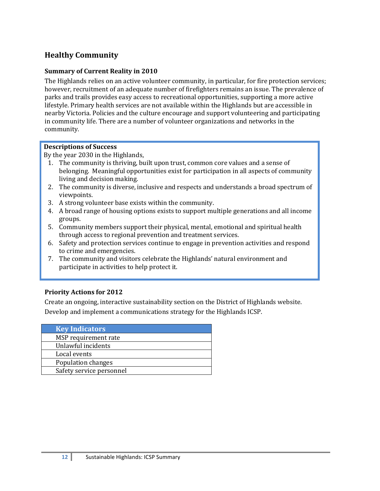# <span id="page-11-0"></span>**Healthy Community**

#### **Summary of Current Reality in 2010**

The Highlands relies on an active volunteer community, in particular, for fire protection services; however, recruitment of an adequate number of firefighters remains an issue. The prevalence of parks and trails provides easy access to recreational opportunities, supporting a more active lifestyle. Primary health services are not available within the Highlands but are accessible in nearby Victoria. Policies and the culture encourage and support volunteering and participating in community life. There are a number of volunteer organizations and networks in the community.

#### **Descriptions of Success**

By the year 2030 in the Highlands,

- 1. The community is thriving, built upon trust, common core values and a sense of belonging. Meaningful opportunities exist for participation in all aspects of community living and decision making.
- 2. The community is diverse, inclusive and respects and understands a broad spectrum of viewpoints.
- 3. A strong volunteer base exists within the community.
- 4. A broad range of housing options exists to support multiple generations and all income groups.
- 5. Community members support their physical, mental, emotional and spiritual health through access to regional prevention and treatment services.
- 6. Safety and protection services continue to engage in prevention activities and respond to crime and emergencies.
- 7. The community and visitors celebrate the Highlands' natural environment and participate in activities to help protect it.

#### **Priority Actions for 2012**

Create an ongoing, interactive sustainability section on the District of Highlands website. Develop and implement a communications strategy for the Highlands ICSP.

| <b>Key Indicators</b>    |  |
|--------------------------|--|
| MSP requirement rate     |  |
| Unlawful incidents       |  |
| Local events             |  |
| Population changes       |  |
| Safety service personnel |  |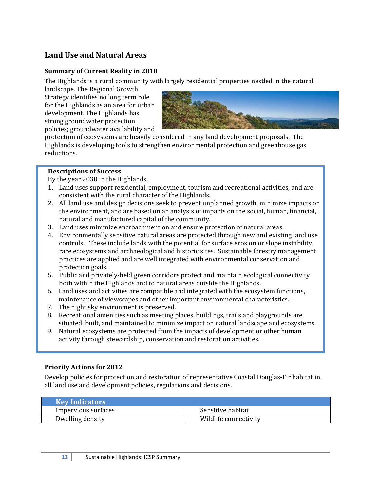# <span id="page-12-0"></span>**Land Use and Natural Areas**

#### **Summary of Current Reality in 2010**

The Highlands is a rural community with largely residential properties nestled in the natural

landscape. The Regional Growth Strategy identifies no long term role for the Highlands as an area for urban development. The Highlands has strong groundwater protection policies; groundwater availability and



protection of ecosystems are heavily considered in any land development proposals. The Highlands is developing tools to strengthen environmental protection and greenhouse gas reductions.

#### **Descriptions of Success**

By the year 2030 in the Highlands,

- 1. Land uses support residential, employment, tourism and recreational activities, and are consistent with the rural character of the Highlands.
- 2. All land use and design decisions seek to prevent unplanned growth, minimize impacts on the environment, and are based on an analysis of impacts on the social, human, financial, natural and manufactured capital of the community.
- 3. Land uses minimize encroachment on and ensure protection of natural areas.
- 4. Environmentally sensitive natural areas are protected through new and existing land use controls. These include lands with the potential for surface erosion or slope instability, rare ecosystems and archaeological and historic sites. Sustainable forestry management practices are applied and are well integrated with environmental conservation and protection goals.
- 5. Public and privately-held green corridors protect and maintain ecological connectivity both within the Highlands and to natural areas outside the Highlands.
- 6. Land uses and activities are compatible and integrated with the ecosystem functions, maintenance of viewscapes and other important environmental characteristics.
- 7. The night sky environment is preserved.
- 8. Recreational amenities such as meeting places, buildings, trails and playgrounds are situated, built, and maintained to minimize impact on natural landscape and ecosystems.
- 9. Natural ecosystems are protected from the impacts of development or other human activity through stewardship, conservation and restoration activities.

#### **Priority Actions for 2012**

Develop policies for protection and restoration of representative Coastal Douglas-Fir habitat in all land use and development policies, regulations and decisions.

| <b>Key Indicators</b> |                       |
|-----------------------|-----------------------|
| Impervious surfaces   | Sensitive habitat     |
| Dwelling density      | Wildlife connectivity |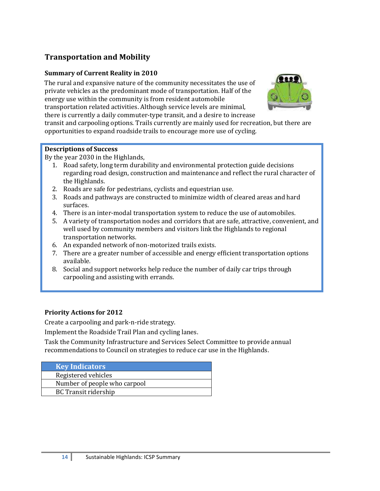# <span id="page-13-0"></span>**Transportation and Mobility**

#### **Summary of Current Reality in 2010**

The rural and expansive nature of the community necessitates the use of private vehicles as the predominant mode of transportation. Half of the energy use within the community is from resident automobile transportation related activities. Although service levels are minimal, there is currently a daily commuter-type transit, and a desire to increase



transit and carpooling options. Trails currently are mainly used for recreation, but there are opportunities to expand roadside trails to encourage more use of cycling.

#### **Descriptions of Success**

By the year 2030 in the Highlands,

- 1. Road safety, long term durability and environmental protection guide decisions regarding road design, construction and maintenance and reflect the rural character of the Highlands.
- 2. Roads are safe for pedestrians, cyclists and equestrian use.
- 3. Roads and pathways are constructed to minimize width of cleared areas and hard surfaces.
- 4. There is an inter-modal transportation system to reduce the use of automobiles.
- 5. A variety of transportation nodes and corridors that are safe, attractive, convenient, and well used by community members and visitors link the Highlands to regional transportation networks.
- 6. An expanded network of non-motorized trails exists.
- 7. There are a greater number of accessible and energy efficient transportation options available.
- 8. Social and support networks help reduce the number of daily car trips through carpooling and assisting with errands.

#### **Priority Actions for 2012**

Create a carpooling and park-n-ride strategy.

Implement the Roadside Trail Plan and cycling lanes.

Task the Community Infrastructure and Services Select Committee to provide annual recommendations to Council on strategies to reduce car use in the Highlands.

| <b>Key Indicators</b>        |
|------------------------------|
| Registered vehicles          |
| Number of people who carpool |
| <b>BC Transit ridership</b>  |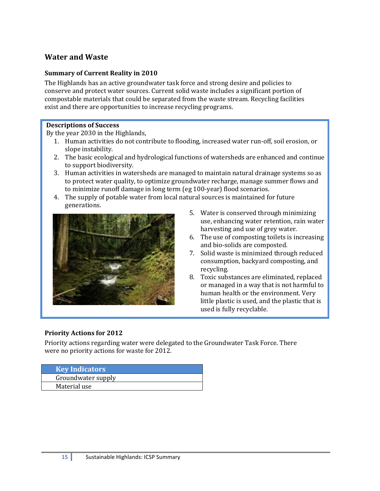# <span id="page-14-0"></span>**Water and Waste**

#### **Summary of Current Reality in 2010**

The Highlands has an active groundwater task force and strong desire and policies to conserve and protect water sources. Current solid waste includes a significant portion of compostable materials that could be separated from the waste stream. Recycling facilities exist and there are opportunities to increase recycling programs.

#### **Descriptions of Success**

By the year 2030 in the Highlands,

- 1. Human activities do not contribute to flooding, increased water run-off, soil erosion, or slope instability.
- 2. The basic ecological and hydrological functions of watersheds are enhanced and continue to support biodiversity.
- 3. Human activities in watersheds are managed to maintain natural drainage systems so as to protect water quality, to optimize groundwater recharge, manage summer flows and to minimize runoff damage in long term (eg 100-year) flood scenarios.
- 4. The supply of potable water from local natural sources is maintained for future generations.



- 5. Water is conserved through minimizing use, enhancing water retention, rain water harvesting and use of grey water.
- 6. The use of composting toilets is increasing and bio-solids are composted.
- 7. Solid waste is minimized through reduced consumption, backyard composting, and recycling.
- 8. Toxic substances are eliminated, replaced or managed in a way that is not harmful to human health or the environment. Very little plastic is used, and the plastic that is used is fully recyclable.

#### **Priority Actions for 2012**

Priority actions regarding water were delegated to the Groundwater Task Force. There were no priority actions for waste for 2012.

| Key Indicators     |  |
|--------------------|--|
| Groundwater supply |  |
| Material use       |  |